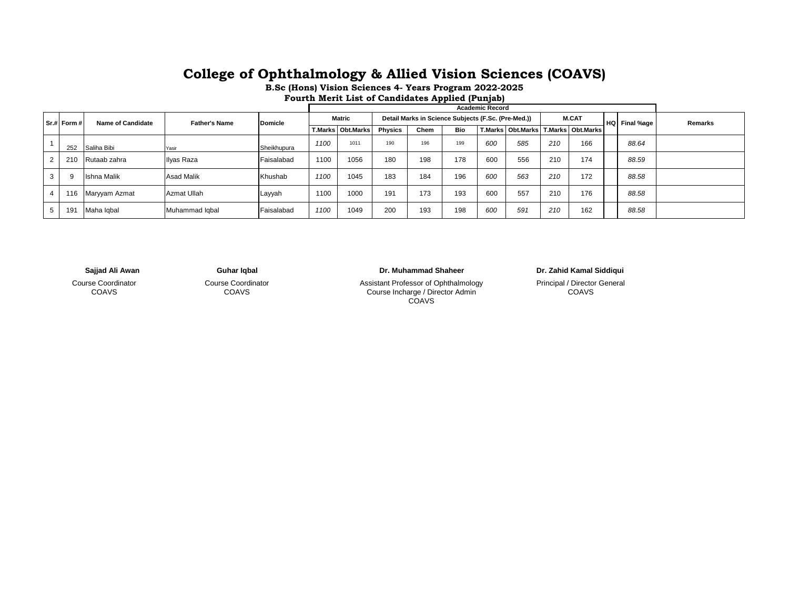## **College of Ophthalmology & Allied Vision Sciences (COAVS)**

**B.Sc (Hons) Vision Sciences 4- Years Program 2022-2025**

**Fourth Merit List of Candidates Applied (Punjab)**

|  |  |             |                    |                      |                | <b>Academic Record</b> |                            |                                                     |      |     |     |     |              |                                           |  |               |         |
|--|--|-------------|--------------------|----------------------|----------------|------------------------|----------------------------|-----------------------------------------------------|------|-----|-----|-----|--------------|-------------------------------------------|--|---------------|---------|
|  |  | Sr.# Form # | Name of Candidate  | <b>Father's Name</b> | <b>Domicle</b> | <b>Matric</b>          |                            | Detail Marks in Science Subjects (F.Sc. (Pre-Med.)) |      |     |     |     | <b>M.CAT</b> |                                           |  | HQ Final %age | Remarks |
|  |  |             |                    |                      |                |                        | <b>T.Marks   Obt.Marks</b> | <b>Physics</b>                                      | Chem | Bio |     |     |              | T.Marks   Obt.Marks   T.Marks   Obt.Marks |  |               |         |
|  |  | 252         | Saliha Bibi        | Yasir                | Sheikhupura    | 1100                   | 1011                       | 190                                                 | 196  | 199 | 600 | 585 | 210          | 166                                       |  | 88.64         |         |
|  |  | 210         | Rutaab zahra       | Ilyas Raza           | Faisalabad     | 1100                   | 1056                       | 180                                                 | 198  | 178 | 600 | 556 | 210          | 174                                       |  | 88.59         |         |
|  |  | 9           | <b>Ishna Malik</b> | <b>Asad Malik</b>    | Khushab        | 1100                   | 1045                       | 183                                                 | 184  | 196 | 600 | 563 | 210          | 172                                       |  | 88.58         |         |
|  |  | 116         | Maryyam Azmat      | Azmat Ullah          | Layyah         | 1100                   | 1000                       | 191                                                 | 173  | 193 | 600 | 557 | 210          | 176                                       |  | 88.58         |         |
|  |  | 191         | Maha Iqbal         | Muhammad Iqbal       | Faisalabad     | 1100                   | 1049                       | 200                                                 | 193  | 198 | 600 | 591 | 210          | 162                                       |  | 88.58         |         |

Course Coordinator COAVS

Course Coordinator COAVS

**Sajjad Ali Awan Guhar Iqbal Dr. Muhammad Shaheer**

Assistant Professor of Ophthalmology Course Incharge / Director Admin COAVS

**Dr. Zahid Kamal Siddiqui** 

Principal / Director General COAVS